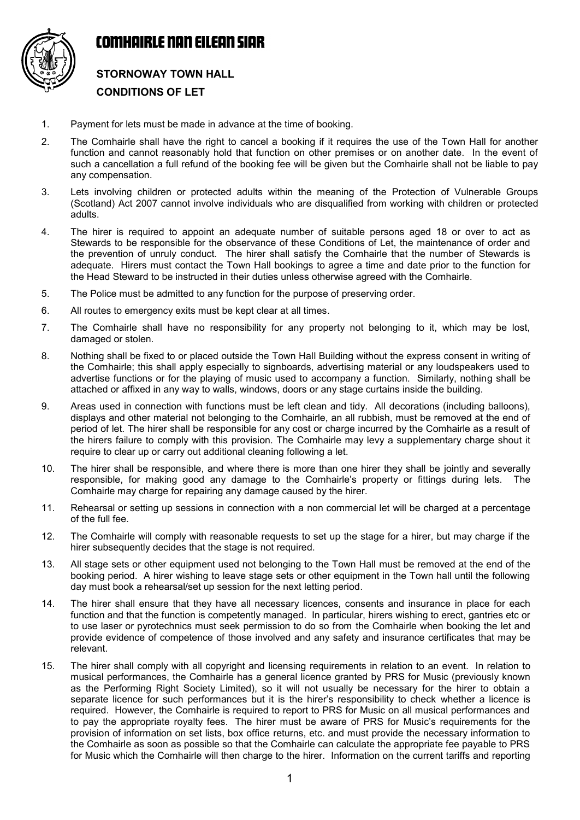

## COMHAIRLE NAN EILEAN SIAR

## **STORNOWAY TOWN HALL CONDITIONS OF LET**

- 1. Payment for lets must be made in advance at the time of booking.
- 2. The Comhairle shall have the right to cancel a booking if it requires the use of the Town Hall for another function and cannot reasonably hold that function on other premises or on another date. In the event of such a cancellation a full refund of the booking fee will be given but the Comhairle shall not be liable to pay any compensation.
- 3. Lets involving children or protected adults within the meaning of the Protection of Vulnerable Groups (Scotland) Act 2007 cannot involve individuals who are disqualified from working with children or protected adults.
- 4. The hirer is required to appoint an adequate number of suitable persons aged 18 or over to act as Stewards to be responsible for the observance of these Conditions of Let, the maintenance of order and the prevention of unruly conduct. The hirer shall satisfy the Comhairle that the number of Stewards is adequate. Hirers must contact the Town Hall bookings to agree a time and date prior to the function for the Head Steward to be instructed in their duties unless otherwise agreed with the Comhairle.
- 5. The Police must be admitted to any function for the purpose of preserving order.
- 6. All routes to emergency exits must be kept clear at all times.
- 7. The Comhairle shall have no responsibility for any property not belonging to it, which may be lost, damaged or stolen.
- 8. Nothing shall be fixed to or placed outside the Town Hall Building without the express consent in writing of the Comhairle; this shall apply especially to signboards, advertising material or any loudspeakers used to advertise functions or for the playing of music used to accompany a function. Similarly, nothing shall be attached or affixed in any way to walls, windows, doors or any stage curtains inside the building.
- 9. Areas used in connection with functions must be left clean and tidy. All decorations (including balloons), displays and other material not belonging to the Comhairle, an all rubbish, must be removed at the end of period of let. The hirer shall be responsible for any cost or charge incurred by the Comhairle as a result of the hirers failure to comply with this provision. The Comhairle may levy a supplementary charge shout it require to clear up or carry out additional cleaning following a let.
- 10. The hirer shall be responsible, and where there is more than one hirer they shall be jointly and severally responsible, for making good any damage to the Comhairle's property or fittings during lets. The Comhairle may charge for repairing any damage caused by the hirer.
- 11. Rehearsal or setting up sessions in connection with a non commercial let will be charged at a percentage of the full fee.
- 12. The Comhairle will comply with reasonable requests to set up the stage for a hirer, but may charge if the hirer subsequently decides that the stage is not required.
- 13. All stage sets or other equipment used not belonging to the Town Hall must be removed at the end of the booking period. A hirer wishing to leave stage sets or other equipment in the Town hall until the following day must book a rehearsal/set up session for the next letting period.
- 14. The hirer shall ensure that they have all necessary licences, consents and insurance in place for each function and that the function is competently managed. In particular, hirers wishing to erect, gantries etc or to use laser or pyrotechnics must seek permission to do so from the Comhairle when booking the let and provide evidence of competence of those involved and any safety and insurance certificates that may be relevant.
- 15. The hirer shall comply with all copyright and licensing requirements in relation to an event. In relation to musical performances, the Comhairle has a general licence granted by PRS for Music (previously known as the Performing Right Society Limited), so it will not usually be necessary for the hirer to obtain a separate licence for such performances but it is the hirer's responsibility to check whether a licence is required. However, the Comhairle is required to report to PRS for Music on all musical performances and to pay the appropriate royalty fees. The hirer must be aware of PRS for Music's requirements for the provision of information on set lists, box office returns, etc. and must provide the necessary information to the Comhairle as soon as possible so that the Comhairle can calculate the appropriate fee payable to PRS for Music which the Comhairle will then charge to the hirer. Information on the current tariffs and reporting